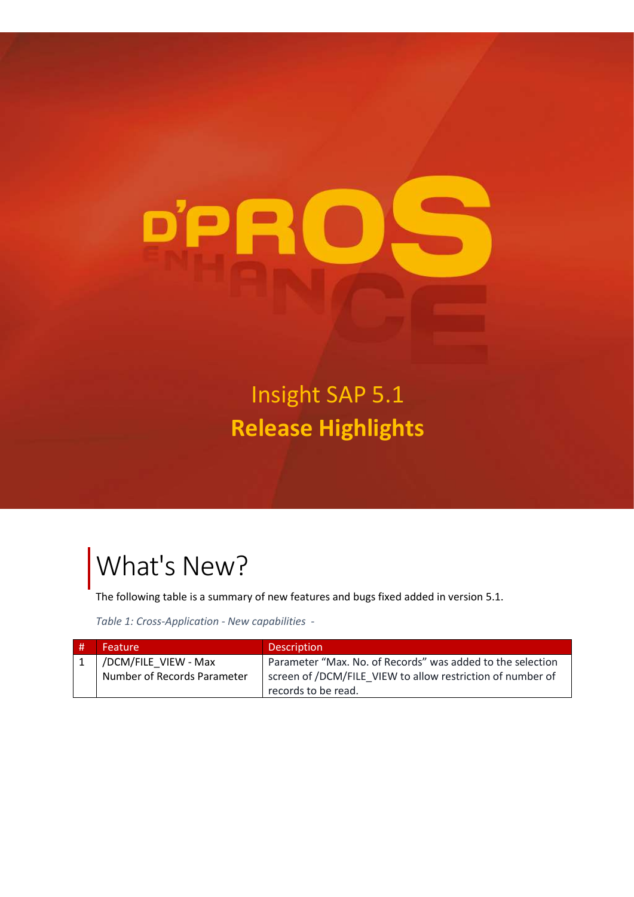

Insight SAP 5.1 **Release Highlights**

## What's New?

The following table is a summary of new features and bugs fixed added in version 5.1.

*Table 1: Cross-Application - New capabilities -*

| l # | Feature                     | <b>Description</b>                                         |
|-----|-----------------------------|------------------------------------------------------------|
|     | /DCM/FILE VIEW - Max        | Parameter "Max. No. of Records" was added to the selection |
|     | Number of Records Parameter | screen of /DCM/FILE VIEW to allow restriction of number of |
|     |                             | records to be read.                                        |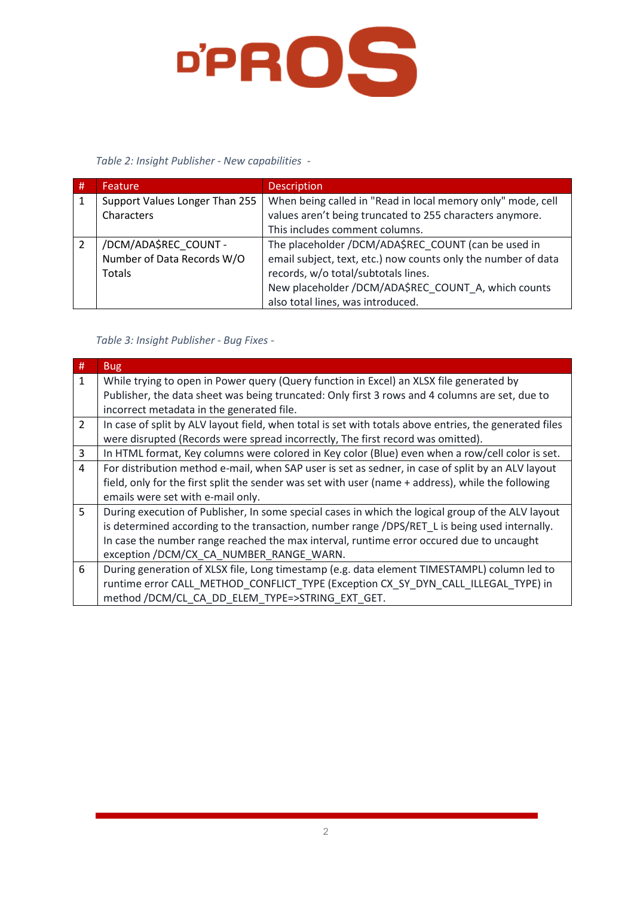

## *Table 2: Insight Publisher - New capabilities -*

| # | Feature                        | <b>Description</b>                                            |
|---|--------------------------------|---------------------------------------------------------------|
| 1 | Support Values Longer Than 255 | When being called in "Read in local memory only" mode, cell   |
|   | Characters                     | values aren't being truncated to 255 characters anymore.      |
|   |                                | This includes comment columns.                                |
|   | /DCM/ADA\$REC COUNT -          | The placeholder /DCM/ADA\$REC_COUNT (can be used in           |
|   | Number of Data Records W/O     | email subject, text, etc.) now counts only the number of data |
|   | Totals                         | records, w/o total/subtotals lines.                           |
|   |                                | New placeholder /DCM/ADA\$REC_COUNT_A, which counts           |
|   |                                | also total lines, was introduced.                             |

## *Table 3: Insight Publisher - Bug Fixes -*

| $\#$           | <b>Bug</b>                                                                                             |
|----------------|--------------------------------------------------------------------------------------------------------|
| $\mathbf{1}$   | While trying to open in Power query (Query function in Excel) an XLSX file generated by                |
|                | Publisher, the data sheet was being truncated: Only first 3 rows and 4 columns are set, due to         |
|                | incorrect metadata in the generated file.                                                              |
| $\overline{2}$ | In case of split by ALV layout field, when total is set with totals above entries, the generated files |
|                | were disrupted (Records were spread incorrectly, The first record was omitted).                        |
| 3              | In HTML format, Key columns were colored in Key color (Blue) even when a row/cell color is set.        |
| 4              | For distribution method e-mail, when SAP user is set as sedner, in case of split by an ALV layout      |
|                | field, only for the first split the sender was set with user (name + address), while the following     |
|                | emails were set with e-mail only.                                                                      |
| 5              | During execution of Publisher, In some special cases in which the logical group of the ALV layout      |
|                | is determined according to the transaction, number range /DPS/RET L is being used internally.          |
|                | In case the number range reached the max interval, runtime error occured due to uncaught               |
|                | exception /DCM/CX_CA_NUMBER_RANGE_WARN.                                                                |
| 6              | During generation of XLSX file, Long timestamp (e.g. data element TIMESTAMPL) column led to            |
|                | runtime error CALL METHOD CONFLICT TYPE (Exception CX SY DYN CALL ILLEGAL TYPE) in                     |
|                | method /DCM/CL_CA_DD_ELEM_TYPE=>STRING EXT GET.                                                        |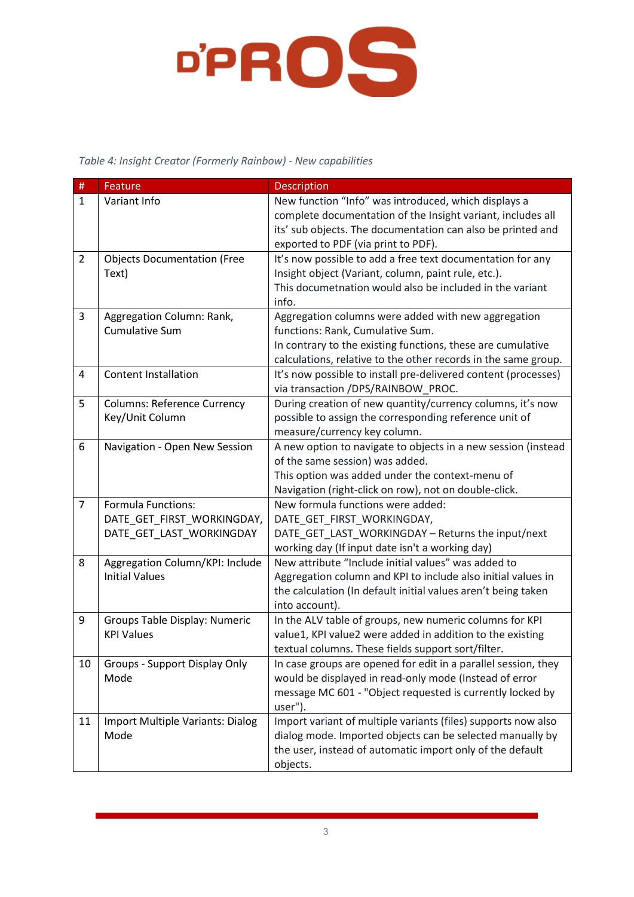

## *Table 4: Insight Creator (Formerly Rainbow) - New capabilities*

| $\#$           | Feature                                 | <b>Description</b>                                             |
|----------------|-----------------------------------------|----------------------------------------------------------------|
| $\mathbf{1}$   | Variant Info                            | New function "Info" was introduced, which displays a           |
|                |                                         | complete documentation of the Insight variant, includes all    |
|                |                                         | its' sub objects. The documentation can also be printed and    |
|                |                                         | exported to PDF (via print to PDF).                            |
| $\overline{2}$ | <b>Objects Documentation (Free</b>      | It's now possible to add a free text documentation for any     |
|                | Text)                                   | Insight object (Variant, column, paint rule, etc.).            |
|                |                                         | This documetnation would also be included in the variant       |
|                |                                         | info.                                                          |
| 3              | Aggregation Column: Rank,               | Aggregation columns were added with new aggregation            |
|                | <b>Cumulative Sum</b>                   | functions: Rank, Cumulative Sum.                               |
|                |                                         | In contrary to the existing functions, these are cumulative    |
|                |                                         | calculations, relative to the other records in the same group. |
| 4              | <b>Content Installation</b>             | It's now possible to install pre-delivered content (processes) |
|                |                                         | via transaction /DPS/RAINBOW_PROC.                             |
| 5              | <b>Columns: Reference Currency</b>      | During creation of new quantity/currency columns, it's now     |
|                | Key/Unit Column                         | possible to assign the corresponding reference unit of         |
|                |                                         | measure/currency key column.                                   |
| 6              | Navigation - Open New Session           | A new option to navigate to objects in a new session (instead  |
|                |                                         | of the same session) was added.                                |
|                |                                         | This option was added under the context-menu of                |
|                |                                         | Navigation (right-click on row), not on double-click.          |
| $\overline{7}$ | <b>Formula Functions:</b>               | New formula functions were added:                              |
|                | DATE_GET_FIRST_WORKINGDAY,              | DATE_GET_FIRST_WORKINGDAY,                                     |
|                | DATE_GET_LAST_WORKINGDAY                | DATE_GET_LAST_WORKINGDAY - Returns the input/next              |
|                |                                         | working day (If input date isn't a working day)                |
| 8              | Aggregation Column/KPI: Include         | New attribute "Include initial values" was added to            |
|                | <b>Initial Values</b>                   | Aggregation column and KPI to include also initial values in   |
|                |                                         | the calculation (In default initial values aren't being taken  |
|                |                                         | into account).                                                 |
| 9              | Groups Table Display: Numeric           | In the ALV table of groups, new numeric columns for KPI        |
|                | <b>KPI Values</b>                       | value1, KPI value2 were added in addition to the existing      |
|                |                                         | textual columns. These fields support sort/filter.             |
| 10             | Groups - Support Display Only           | In case groups are opened for edit in a parallel session, they |
|                | Mode                                    | would be displayed in read-only mode (Instead of error         |
|                |                                         | message MC 601 - "Object requested is currently locked by      |
|                |                                         | user").                                                        |
| 11             | <b>Import Multiple Variants: Dialog</b> | Import variant of multiple variants (files) supports now also  |
|                | Mode                                    | dialog mode. Imported objects can be selected manually by      |
|                |                                         | the user, instead of automatic import only of the default      |
|                |                                         | objects.                                                       |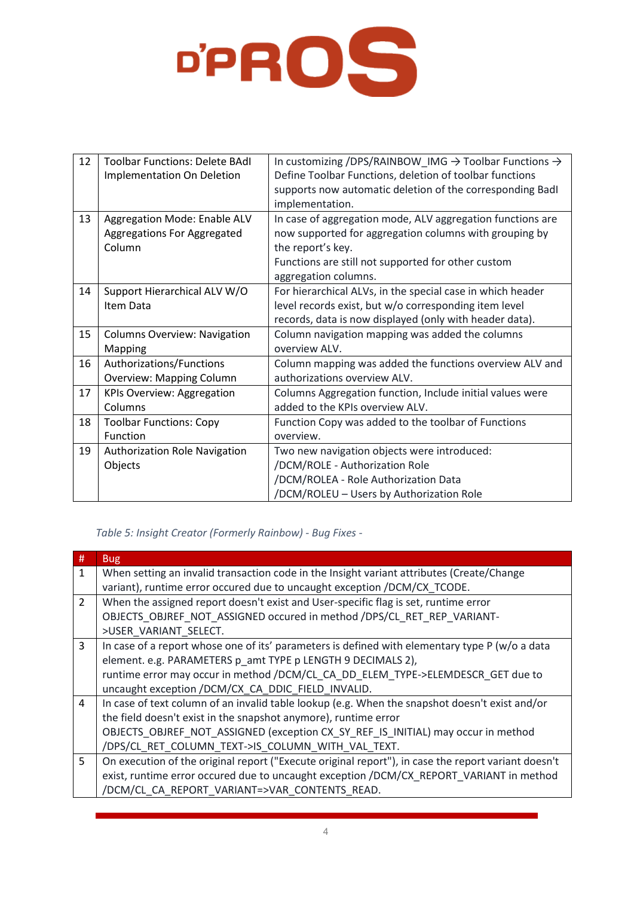

| 12 | <b>Toolbar Functions: Delete BAdl</b> |                                                                               |
|----|---------------------------------------|-------------------------------------------------------------------------------|
|    |                                       | In customizing /DPS/RAINBOW_IMG $\rightarrow$ Toolbar Functions $\rightarrow$ |
|    | <b>Implementation On Deletion</b>     | Define Toolbar Functions, deletion of toolbar functions                       |
|    |                                       | supports now automatic deletion of the corresponding Badl                     |
|    |                                       | implementation.                                                               |
| 13 | Aggregation Mode: Enable ALV          | In case of aggregation mode, ALV aggregation functions are                    |
|    | Aggregations For Aggregated           | now supported for aggregation columns with grouping by                        |
|    | Column                                | the report's key.                                                             |
|    |                                       | Functions are still not supported for other custom                            |
|    |                                       | aggregation columns.                                                          |
| 14 | Support Hierarchical ALV W/O          | For hierarchical ALVs, in the special case in which header                    |
|    | Item Data                             | level records exist, but w/o corresponding item level                         |
|    |                                       | records, data is now displayed (only with header data).                       |
| 15 | <b>Columns Overview: Navigation</b>   | Column navigation mapping was added the columns                               |
|    | Mapping                               | overview ALV.                                                                 |
| 16 | Authorizations/Functions              | Column mapping was added the functions overview ALV and                       |
|    | <b>Overview: Mapping Column</b>       | authorizations overview ALV.                                                  |
| 17 | <b>KPIs Overview: Aggregation</b>     | Columns Aggregation function, Include initial values were                     |
|    | Columns                               | added to the KPIs overview ALV.                                               |
| 18 | <b>Toolbar Functions: Copy</b>        | Function Copy was added to the toolbar of Functions                           |
|    | Function                              | overview.                                                                     |
| 19 | <b>Authorization Role Navigation</b>  | Two new navigation objects were introduced:                                   |
|    | Objects                               | /DCM/ROLE - Authorization Role                                                |
|    |                                       | /DCM/ROLEA - Role Authorization Data                                          |
|    |                                       | /DCM/ROLEU - Users by Authorization Role                                      |

*Table 5: Insight Creator (Formerly Rainbow) - Bug Fixes -*

| #              | <b>Bug</b>                                                                                          |
|----------------|-----------------------------------------------------------------------------------------------------|
| 1              | When setting an invalid transaction code in the Insight variant attributes (Create/Change           |
|                | variant), runtime error occured due to uncaught exception /DCM/CX_TCODE.                            |
| $\overline{2}$ | When the assigned report doesn't exist and User-specific flag is set, runtime error                 |
|                | OBJECTS OBJREF NOT ASSIGNED occured in method / DPS/CL RET REP VARIANT-                             |
|                | >USER VARIANT SELECT.                                                                               |
| $\overline{3}$ | In case of a report whose one of its' parameters is defined with elementary type P (w/o a data      |
|                | element. e.g. PARAMETERS p_amt TYPE p LENGTH 9 DECIMALS 2),                                         |
|                | runtime error may occur in method /DCM/CL_CA_DD_ELEM_TYPE->ELEMDESCR_GET due to                     |
|                | uncaught exception /DCM/CX_CA_DDIC_FIELD_INVALID.                                                   |
| $\overline{4}$ | In case of text column of an invalid table lookup (e.g. When the snapshot doesn't exist and/or      |
|                | the field doesn't exist in the snapshot anymore), runtime error                                     |
|                | OBJECTS OBJREF NOT ASSIGNED (exception CX SY REF IS INITIAL) may occur in method                    |
|                | /DPS/CL_RET_COLUMN_TEXT->IS_COLUMN_WITH_VAL_TEXT.                                                   |
| 5              | On execution of the original report ("Execute original report"), in case the report variant doesn't |
|                | exist, runtime error occured due to uncaught exception /DCM/CX_REPORT_VARIANT in method             |
|                | /DCM/CL_CA_REPORT_VARIANT=>VAR_CONTENTS_READ.                                                       |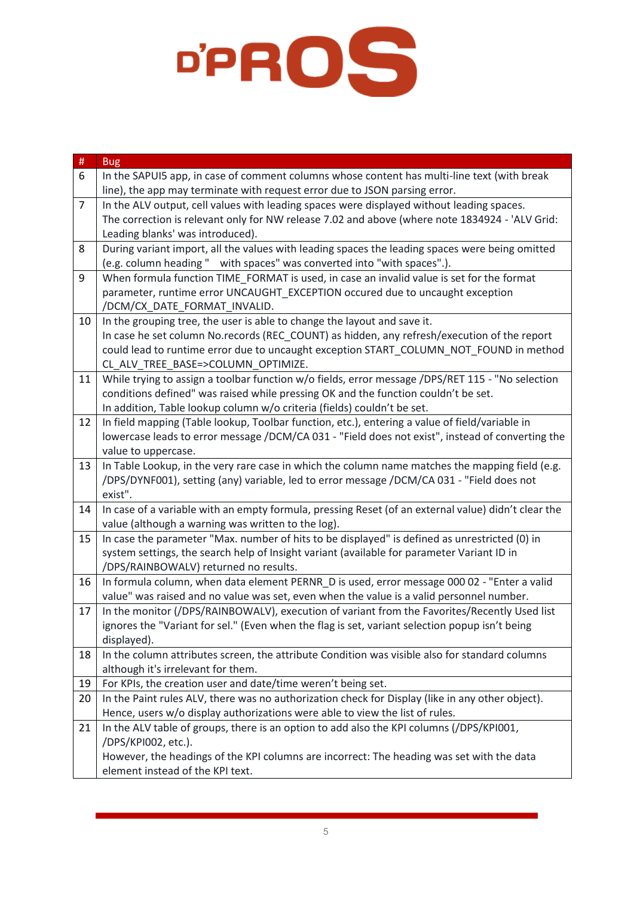

| $\#$           | <b>Bug</b>                                                                                           |
|----------------|------------------------------------------------------------------------------------------------------|
| 6              | In the SAPUI5 app, in case of comment columns whose content has multi-line text (with break          |
|                | line), the app may terminate with request error due to JSON parsing error.                           |
| $\overline{7}$ | In the ALV output, cell values with leading spaces were displayed without leading spaces.            |
|                | The correction is relevant only for NW release 7.02 and above (where note 1834924 - 'ALV Grid:       |
|                | Leading blanks' was introduced).                                                                     |
| 8              | During variant import, all the values with leading spaces the leading spaces were being omitted      |
|                | (e.g. column heading " with spaces" was converted into "with spaces".).                              |
| 9              | When formula function TIME FORMAT is used, in case an invalid value is set for the format            |
|                | parameter, runtime error UNCAUGHT EXCEPTION occured due to uncaught exception                        |
|                | /DCM/CX_DATE_FORMAT_INVALID.                                                                         |
| 10             | In the grouping tree, the user is able to change the layout and save it.                             |
|                | In case he set column No.records (REC_COUNT) as hidden, any refresh/execution of the report          |
|                | could lead to runtime error due to uncaught exception START_COLUMN_NOT_FOUND in method               |
|                | CL_ALV_TREE_BASE=>COLUMN_OPTIMIZE.                                                                   |
| 11             | While trying to assign a toolbar function w/o fields, error message /DPS/RET 115 - "No selection     |
|                | conditions defined" was raised while pressing OK and the function couldn't be set.                   |
|                | In addition, Table lookup column w/o criteria (fields) couldn't be set.                              |
| 12             | In field mapping (Table lookup, Toolbar function, etc.), entering a value of field/variable in       |
|                | lowercase leads to error message /DCM/CA 031 - "Field does not exist", instead of converting the     |
|                | value to uppercase.                                                                                  |
| 13             | In Table Lookup, in the very rare case in which the column name matches the mapping field (e.g.      |
|                | /DPS/DYNF001), setting (any) variable, led to error message /DCM/CA 031 - "Field does not<br>exist". |
| 14             | In case of a variable with an empty formula, pressing Reset (of an external value) didn't clear the  |
|                | value (although a warning was written to the log).                                                   |
| 15             | In case the parameter "Max. number of hits to be displayed" is defined as unrestricted (0) in        |
|                | system settings, the search help of Insight variant (available for parameter Variant ID in           |
|                | /DPS/RAINBOWALV) returned no results.                                                                |
| 16             | In formula column, when data element PERNR_D is used, error message 000 02 - "Enter a valid          |
|                | value" was raised and no value was set, even when the value is a valid personnel number.             |
| 17             | In the monitor (/DPS/RAINBOWALV), execution of variant from the Favorites/Recently Used list         |
|                | ignores the "Variant for sel." (Even when the flag is set, variant selection popup isn't being       |
|                | displayed).                                                                                          |
| 18             | In the column attributes screen, the attribute Condition was visible also for standard columns       |
|                | although it's irrelevant for them.                                                                   |
| 19             | For KPIs, the creation user and date/time weren't being set.                                         |
| 20             | In the Paint rules ALV, there was no authorization check for Display (like in any other object).     |
|                | Hence, users w/o display authorizations were able to view the list of rules.                         |
| 21             | In the ALV table of groups, there is an option to add also the KPI columns (/DPS/KPI001,             |
|                | /DPS/KPI002, etc.).                                                                                  |
|                | However, the headings of the KPI columns are incorrect: The heading was set with the data            |
|                | element instead of the KPI text.                                                                     |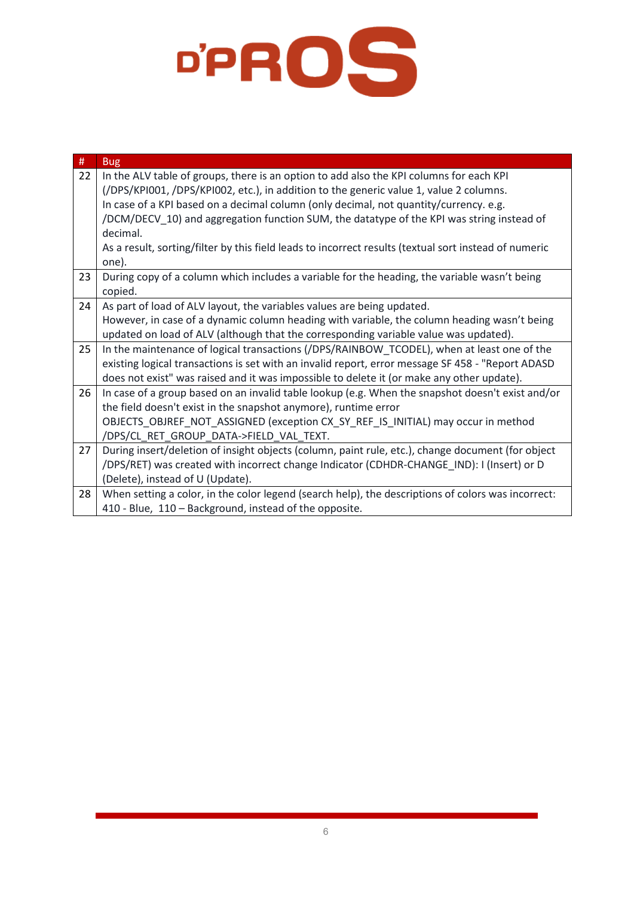

| $\#$ | <b>Bug</b>                                                                                            |
|------|-------------------------------------------------------------------------------------------------------|
| 22   | In the ALV table of groups, there is an option to add also the KPI columns for each KPI               |
|      | (/DPS/KPI001, /DPS/KPI002, etc.), in addition to the generic value 1, value 2 columns.                |
|      | In case of a KPI based on a decimal column (only decimal, not quantity/currency. e.g.                 |
|      | /DCM/DECV_10) and aggregation function SUM, the datatype of the KPI was string instead of             |
|      | decimal.                                                                                              |
|      | As a result, sorting/filter by this field leads to incorrect results (textual sort instead of numeric |
|      | one).                                                                                                 |
| 23   | During copy of a column which includes a variable for the heading, the variable wasn't being          |
|      | copied.                                                                                               |
| 24   | As part of load of ALV layout, the variables values are being updated.                                |
|      | However, in case of a dynamic column heading with variable, the column heading wasn't being           |
|      | updated on load of ALV (although that the corresponding variable value was updated).                  |
| 25   | In the maintenance of logical transactions (/DPS/RAINBOW_TCODEL), when at least one of the            |
|      | existing logical transactions is set with an invalid report, error message SF 458 - "Report ADASD     |
|      | does not exist" was raised and it was impossible to delete it (or make any other update).             |
| 26   | In case of a group based on an invalid table lookup (e.g. When the snapshot doesn't exist and/or      |
|      | the field doesn't exist in the snapshot anymore), runtime error                                       |
|      | OBJECTS_OBJREF_NOT_ASSIGNED (exception CX_SY_REF_IS_INITIAL) may occur in method                      |
|      | /DPS/CL_RET_GROUP_DATA->FIELD_VAL_TEXT.                                                               |
| 27   | During insert/deletion of insight objects (column, paint rule, etc.), change document (for object     |
|      | /DPS/RET) was created with incorrect change Indicator (CDHDR-CHANGE_IND): I (Insert) or D             |
|      | (Delete), instead of U (Update).                                                                      |
| 28   | When setting a color, in the color legend (search help), the descriptions of colors was incorrect:    |
|      | 410 - Blue, 110 - Background, instead of the opposite.                                                |